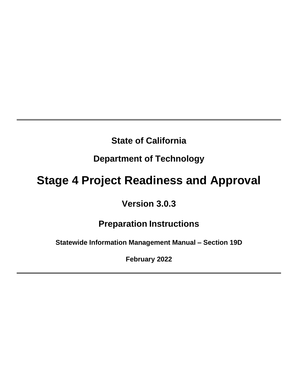# **State of California**

# **Department of Technology**

# **Stage 4 Project Readiness and Approval**

# **Version 3.0.3**

# **Preparation Instructions**

**Statewide Information Management Manual – Section 19D**

**February 2022**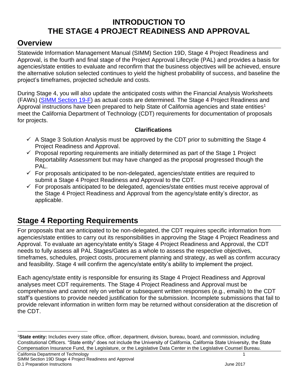### **INTRODUCTION TO THE STAGE 4 PROJECT READINESS AND APPROVAL**

### <span id="page-1-0"></span>**Overview**

Statewide Information Management Manual (SIMM) Section 19D, Stage 4 Project Readiness and Approval, is the fourth and final stage of the Project Approval Lifecycle (PAL) and provides a basis for agencies/state entities to evaluate and reconfirm that the business objectives will be achieved, ensure the alternative solution selected continues to yield the highest probability of success, and baseline the project's timeframes, projected schedule and costs.

During Stage 4, you will also update the anticipated costs within the Financial Analysis Worksheets (FAWs) (SIMM [Section 19-F\)](https://cdt.ca.gov/policy/simm-19/) as actual costs are determined. The Stage 4 Project Readiness and Approval instructions have been prepared to help State of California agencies and state entities<sup>1</sup> meet the California Department of Technology (CDT) requirements for documentation of proposals for projects.

#### **Clarifications**

- $\checkmark$  A Stage 3 Solution Analysis must be approved by the CDT prior to submitting the Stage 4 Project Readiness and Approval.
- $\checkmark$  Proposal reporting requirements are initially determined as part of the Stage 1 Project Reportability Assessment but may have changed as the proposal progressed though the PAL.
- $\checkmark$  For proposals anticipated to be non-delegated, agencies/state entities are required to submit a Stage 4 Project Readiness and Approval to the CDT.
- $\checkmark$  For proposals anticipated to be delegated, agencies/state entities must receive approval of the Stage 4 Project Readiness and Approval from the agency/state entity's director, as applicable.

# <span id="page-1-1"></span>**Stage 4 Reporting Requirements**

For proposals that are anticipated to be non-delegated, the CDT requires specific information from agencies/state entities to carry out its responsibilities in approving the Stage 4 Project Readiness and Approval. To evaluate an agency/state entity's Stage 4 Project Readiness and Approval, the CDT needs to fully assess all PAL Stages/Gates as a whole to assess the respective objectives, timeframes, schedules, project costs, procurement planning and strategy, as well as confirm accuracy and feasibility. Stage 4 will confirm the agency/state entity's ability to implement the project.

Each agency/state entity is responsible for ensuring its Stage 4 Project Readiness and Approval analyses meet CDT requirements. The Stage 4 Project Readiness and Approval must be comprehensive and cannot rely on verbal or subsequent written responses (e.g., emails) to the CDT staff's questions to provide needed justification for the submission. Incomplete submissions that fail to provide relevant information in written form may be returned without consideration at the discretion of the CDT.

<sup>1</sup>**State entity:** Includes every state office, officer, department, division, bureau, board, and commission, including Constitutional Officers. "State entity" does not include the University of California, California State University, the State Compensation Insurance Fund, the Legislature, or the Legislative Data Center in the Legislative Counsel Bureau.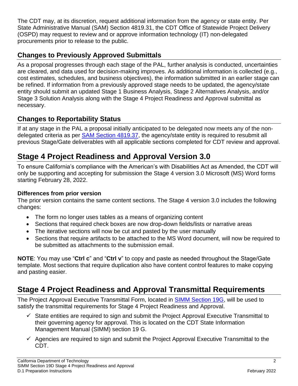The CDT may, at its discretion, request additional information from the agency or state entity. Per State Administrative Manual (SAM) Section 4819.31, the CDT Office of Statewide Project Delivery (OSPD) may request to review and or approve information technology (IT) non-delegated procurements prior to release to the public.

### **Changes to Previously Approved Submittals**

As a proposal progresses through each stage of the PAL, further analysis is conducted, uncertainties are cleared, and data used for decision-making improves. As additional information is collected (e.g., cost estimates, schedules, and business objectives), the information submitted in an earlier stage can be refined. If information from a previously approved stage needs to be updated, the agency/state entity should submit an updated Stage 1 Business Analysis, Stage 2 Alternatives Analysis, and/or Stage 3 Solution Analysis along with the Stage 4 Project Readiness and Approval submittal as necessary.

### **Changes to Reportability Status**

If at any stage in the PAL a proposal initially anticipated to be delegated now meets any of the nondelegated criteria as per [SAM Section 4819.37,](https://www.dgs.ca.gov/Resources/SAM#@ViewBag.JumpTo) the agency/state entity is required to resubmit all previous Stage/Gate deliverables with all applicable sections completed for CDT review and approval.

# <span id="page-2-0"></span>**Stage 4 Project Readiness and Approval Version 3.0**

To ensure California's compliance with the American's with Disabilities Act as Amended, the CDT will only be supporting and accepting for submission the Stage 4 version 3.0 Microsoft (MS) Word forms starting February 28, 2022.

#### **Differences from prior version**

The prior version contains the same content sections. The Stage 4 version 3.0 includes the following changes:

- The form no longer uses tables as a means of organizing content
- Sections that required check boxes are now drop-down fields/lists or narrative areas
- The iterative sections will now be cut and pasted by the user manually
- Sections that require artifacts to be attached to the MS Word document, will now be required to be submitted as attachments to the submission email.

**NOTE**: You may use "**Ctrl c**" and "**Ctrl v**" to copy and paste as needed throughout the Stage/Gate template. Most sections that require duplication also have content control features to make copying and pasting easier.

# <span id="page-2-1"></span>**Stage 4 Project Readiness and Approval Transmittal Requirements**

The Project Approval Executive Transmittal Form, located in [SIMM Section 19G,](https://cdt.ca.gov/policy/simm-19/) will be used to satisfy the transmittal requirements for Stage 4 Project Readiness and Approval.

- $\checkmark$  State entities are required to sign and submit the Project Approval Executive Transmittal to their governing agency for approval. This is located on the CDT State Information Management Manual (SIMM) section 19 G.
- $\checkmark$  Agencies are required to sign and submit the Project Approval Executive Transmittal to the CDT.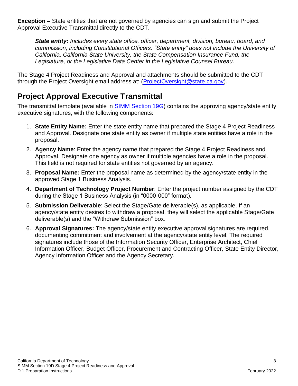**Exception –** State entities that are not governed by agencies can sign and submit the Project Approval Executive Transmittal directly to the CDT.

*State entity: Includes every state office, officer, department, division, bureau, board, and commission, including Constitutional Officers. "State entity" does not include the University of California, California State University, the State Compensation Insurance Fund, the Legislature, or the Legislative Data Center in the Legislative Counsel Bureau.*

The Stage 4 Project Readiness and Approval and attachments should be submitted to the CDT through the Project Oversight email address at: [\(ProjectOversight@state.ca.gov\)](mailto:ProjectOversight@state.ca.gov).

# <span id="page-3-0"></span>**Project Approval Executive Transmittal**

The transmittal template (available in [SIMM Section 19G\)](https://cdt.ca.gov/policy/simm-19/) contains the approving agency/state entity executive signatures, with the following components:

- 1. **State Entity Name:** Enter the state entity name that prepared the Stage 4 Project Readiness and Approval. Designate one state entity as owner if multiple state entities have a role in the proposal.
- 2. **Agency Name**: Enter the agency name that prepared the Stage 4 Project Readiness and Approval. Designate one agency as owner if multiple agencies have a role in the proposal. This field is not required for state entities not governed by an agency.
- 3. **Proposal Name:** Enter the proposal name as determined by the agency/state entity in the approved Stage 1 Business Analysis.
- 4. **Department of Technology Project Number**: Enter the project number assigned by the CDT during the Stage 1 Business Analysis (in "0000-000" format).
- 5. **Submission Deliverable**: Select the Stage/Gate deliverable(s), as applicable. If an agency/state entity desires to withdraw a proposal, they will select the applicable Stage/Gate deliverable(s) and the "Withdraw Submission" box.
- 6. **Approval Signatures:** The agency/state entity executive approval signatures are required, documenting commitment and involvement at the agency/state entity level. The required signatures include those of the Information Security Officer, Enterprise Architect, Chief Information Officer, Budget Officer, Procurement and Contracting Officer, State Entity Director, Agency Information Officer and the Agency Secretary.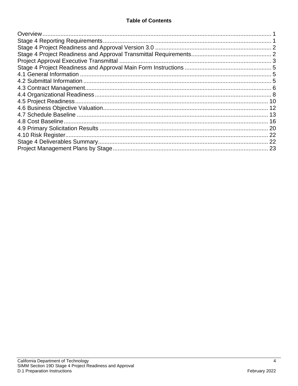| -22 |
|-----|
|     |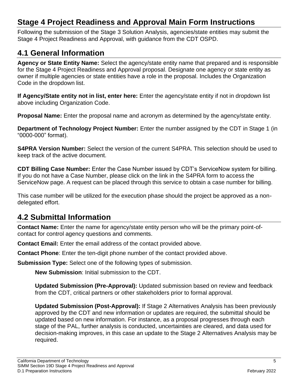# <span id="page-5-0"></span>**Stage 4 Project Readiness and Approval Main Form Instructions**

Following the submission of the Stage 3 Solution Analysis, agencies/state entities may submit the Stage 4 Project Readiness and Approval, with guidance from the CDT OSPD.

### <span id="page-5-1"></span>**4.1 General Information**

**Agency or State Entity Name:** Select the agency/state entity name that prepared and is responsible for the Stage 4 Project Readiness and Approval proposal. Designate one agency or state entity as owner if multiple agencies or state entities have a role in the proposal. Includes the Organization Code in the dropdown list.

**If Agency/State entity not in list, enter here:** Enter the agency/state entity if not in dropdown list above including Organization Code.

**Proposal Name:** Enter the proposal name and acronym as determined by the agency/state entity.

**Department of Technology Project Number:** Enter the number assigned by the CDT in Stage 1 (in "0000-000" format).

**S4PRA Version Number:** Select the version of the current S4PRA. This selection should be used to keep track of the active document.

**CDT Billing Case Number:** Enter the Case Number issued by CDT's ServiceNow system for billing. If you do not have a Case Number, please click on the link in the S4PRA form to access the ServiceNow page. A request can be placed through this service to obtain a case number for billing.

This case number will be utilized for the execution phase should the project be approved as a nondelegated effort.

### <span id="page-5-2"></span>**4.2 Submittal Information**

**Contact Name:** Enter the name for agency/state entity person who will be the primary point-ofcontact for control agency questions and comments.

**Contact Email:** Enter the email address of the contact provided above.

**Contact Phone**: Enter the ten-digit phone number of the contact provided above.

**Submission Type:** Select one of the following types of submission.

**New Submission**: Initial submission to the CDT.

**Updated Submission (Pre-Approval):** Updated submission based on review and feedback from the CDT, critical partners or other stakeholders prior to formal approval.

**Updated Submission (Post-Approval):** If Stage 2 Alternatives Analysis has been previously approved by the CDT and new information or updates are required, the submittal should be updated based on new information. For instance, as a proposal progresses through each stage of the PAL, further analysis is conducted, uncertainties are cleared, and data used for decision-making improves, in this case an update to the Stage 2 Alternatives Analysis may be required.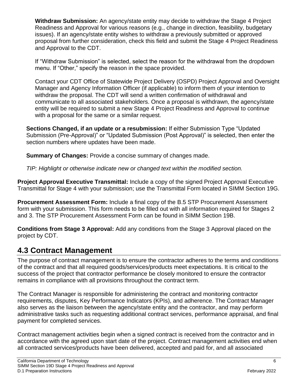**Withdraw Submission:** An agency/state entity may decide to withdraw the Stage 4 Project Readiness and Approval for various reasons (e.g., change in direction, feasibility, budgetary issues). If an agency/state entity wishes to withdraw a previously submitted or approved proposal from further consideration, check this field and submit the Stage 4 Project Readiness and Approval to the CDT.

If "Withdraw Submission" is selected, select the reason for the withdrawal from the dropdown menu. If "Other," specify the reason in the space provided.

Contact your CDT Office of Statewide Project Delivery (OSPD) Project Approval and Oversight Manager and Agency Information Officer (if applicable) to inform them of your intention to withdraw the proposal. The CDT will send a written confirmation of withdrawal and communicate to all associated stakeholders. Once a proposal is withdrawn, the agency/state entity will be required to submit a new Stage 4 Project Readiness and Approval to continue with a proposal for the same or a similar request.

**Sections Changed, if an update or a resubmission:** If either Submission Type "Updated Submission (Pre-Approval)" or "Updated Submission (Post Approval)" is selected, then enter the section numbers where updates have been made.

**Summary of Changes:** Provide a concise summary of changes made.

*TIP: Highlight or otherwise indicate new or changed text within the modified section.*

**Project Approval Executive Transmittal:** Include a copy of the signed Project Approval Executive Transmittal for Stage 4 with your submission; use the Transmittal Form located in SIMM Section 19G.

**Procurement Assessment Form:** Include a final copy of the B.5 STP Procurement Assessment form with your submission. This form needs to be filled out with all information required for Stages 2 and 3. The STP Procurement Assessment Form can be found in SIMM Section 19B.

**Conditions from Stage 3 Approval:** Add any conditions from the Stage 3 Approval placed on the project by CDT.

### <span id="page-6-0"></span>**4.3 Contract Management**

The purpose of contract management is to ensure the contractor adheres to the terms and conditions of the contract and that all required goods/services/products meet expectations. It is critical to the success of the project that contractor performance be closely monitored to ensure the contractor remains in compliance with all provisions throughout the contract term.

The Contract Manager is responsible for administering the contract and monitoring contractor requirements, disputes, Key Performance Indicators (KPIs), and adherence. The Contract Manager also serves as the liaison between the agency/state entity and the contractor, and may perform administrative tasks such as requesting additional contract services, performance appraisal, and final payment for completed services.

Contract management activities begin when a signed contract is received from the contractor and in accordance with the agreed upon start date of the project. Contract management activities end when all contracted services/products have been delivered, accepted and paid for, and all associated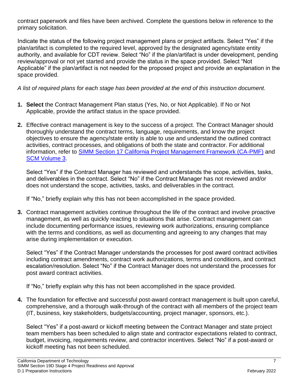contract paperwork and files have been archived. Complete the questions below in reference to the primary solicitation.

Indicate the status of the following project management plans or project artifacts. Select "Yes" if the plan/artifact is completed to the required level, approved by the designated agency/state entity authority, and available for CDT review. Select "No" if the plan/artifact is under development, pending review/approval or not yet started and provide the status in the space provided. Select "Not Applicable" if the plan/artifact is not needed for the proposed project and provide an explanation in the space provided.

*A list of required plans for each stage has been provided at the end of this instruction document.*

- **1. Select** the Contract Management Plan status (Yes, No, or Not Applicable). If No or Not Applicable, provide the artifact status in the space provided.
- **2.** Effective contract management is key to the success of a project. The Contract Manager should thoroughly understand the contract terms, language, requirements, and know the project objectives to ensure the agency/state entity is able to use and understand the outlined contract activities, contract processes, and obligations of both the state and contractor. For additional information, refer to [SIMM Section 17 California Project Management Framework \(CA-PMF\)](http://capmf.cio.ca.gov/) and [SCM Volume 3.](http://www.dgs.ca.gov/pd/Resources/publications/SCM3.aspx)

Select "Yes" if the Contract Manager has reviewed and understands the scope, activities, tasks, and deliverables in the contract. Select "No" if the Contract Manager has not reviewed and/or does not understand the scope, activities, tasks, and deliverables in the contract.

If "No," briefly explain why this has not been accomplished in the space provided.

**3.** Contract management activities continue throughout the life of the contract and involve proactive management, as well as quickly reacting to situations that arise. Contract management can include documenting performance issues, reviewing work authorizations, ensuring compliance with the terms and conditions, as well as documenting and agreeing to any changes that may arise during implementation or execution.

Select "Yes" if the Contract Manager understands the processes for post award contract activities including contract amendments, contract work authorizations, terms and conditions, and contract escalation/resolution. Select "No" if the Contract Manager does not understand the processes for post award contract activities.

If "No," briefly explain why this has not been accomplished in the space provided.

**4.** The foundation for effective and successful post-award contract management is built upon careful, comprehensive, and a thorough walk-through of the contract with all members of the project team (IT, business, key stakeholders, budgets/accounting, project manager, sponsors, etc.).

Select "Yes" if a post-award or kickoff meeting between the Contract Manager and state project team members has been scheduled to align state and contractor expectations related to contract, budget, invoicing, requirements review, and contractor incentives. Select "No" if a post-award or kickoff meeting has not been scheduled.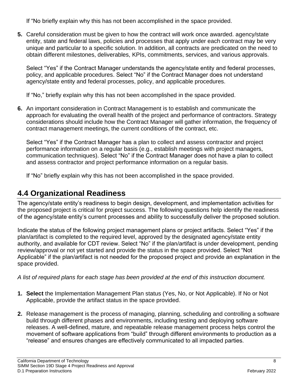If "No briefly explain why this has not been accomplished in the space provided.

**5.** Careful consideration must be given to how the contract will work once awarded. agency/state entity, state and federal laws, policies and processes that apply under each contract may be very unique and particular to a specific solution. In addition, all contracts are predicated on the need to obtain different milestones, deliverables, KPIs, commitments, services, and various approvals.

Select "Yes" if the Contract Manager understands the agency/state entity and federal processes, policy, and applicable procedures. Select "No" if the Contract Manager does not understand agency/state entity and federal processes, policy, and applicable procedures.

If "No," briefly explain why this has not been accomplished in the space provided.

**6.** An important consideration in Contract Management is to establish and communicate the approach for evaluating the overall health of the project and performance of contractors. Strategy considerations should include how the Contract Manager will gather information, the frequency of contract management meetings, the current conditions of the contract, etc.

Select "Yes" if the Contract Manager has a plan to collect and assess contractor and project performance information on a regular basis (e.g., establish meetings with project managers, communication techniques). Select "No" if the Contract Manager does not have a plan to collect and assess contractor and project performance information on a regular basis.

If "No" briefly explain why this has not been accomplished in the space provided.

# <span id="page-8-0"></span>**4.4 Organizational Readiness**

The agency/state entity's readiness to begin design, development, and implementation activities for the proposed project is critical for project success. The following questions help identify the readiness of the agency/state entity's current processes and ability to successfully deliver the proposed solution.

Indicate the status of the following project management plans or project artifacts. Select "Yes" if the plan/artifact is completed to the required level, approved by the designated agency/state entity authority, and available for CDT review. Select "No" if the plan/artifact is under development, pending review/approval or not yet started and provide the status in the space provided. Select "Not Applicable" if the plan/artifact is not needed for the proposed project and provide an explanation in the space provided.

*A list of required plans for each stage has been provided at the end of this instruction document.*

- **1. Select** the Implementation Management Plan status (Yes, No, or Not Applicable). If No or Not Applicable, provide the artifact status in the space provided.
- **2.** Release management is the process of managing, planning, scheduling and controlling a software build through different phases and environments, including testing and deploying software releases. A well-defined, mature, and repeatable release management process helps control the movement of software applications from "build" through different environments to production as a "release" and ensures changes are effectively communicated to all impacted parties.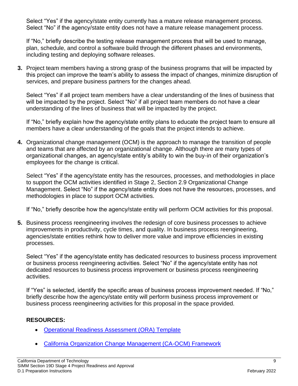Select "Yes" if the agency/state entity currently has a mature release management process. Select "No" if the agency/state entity does not have a mature release management process.

If "No," briefly describe the testing release management process that will be used to manage, plan, schedule, and control a software build through the different phases and environments, including testing and deploying software releases.

**3.** Project team members having a strong grasp of the business programs that will be impacted by this project can improve the team's ability to assess the impact of changes, minimize disruption of services, and prepare business partners for the changes ahead.

Select "Yes" if all project team members have a clear understanding of the lines of business that will be impacted by the project. Select "No" if all project team members do not have a clear understanding of the lines of business that will be impacted by the project.

If "No," briefly explain how the agency/state entity plans to educate the project team to ensure all members have a clear understanding of the goals that the project intends to achieve.

**4.** Organizational change management (OCM) is the approach to manage the transition of people and teams that are affected by an organizational change. Although there are many types of organizational changes, an agency/state entity's ability to win the buy-in of their organization's employees for the change is critical.

Select "Yes" if the agency/state entity has the resources, processes, and methodologies in place to support the OCM activities identified in Stage 2, Section 2.9 Organizational Change Management. Select "No" if the agency/state entity does not have the resources, processes, and methodologies in place to support OCM activities.

If "No," briefly describe how the agency/state entity will perform OCM activities for this proposal.

**5.** Business process reengineering involves the redesign of core business processes to achieve improvements in productivity, cycle times, and quality. In business process reengineering, agencies/state entities rethink how to deliver more value and improve efficiencies in existing processes.

Select "Yes" if the agency/state entity has dedicated resources to business process improvement or business process reengineering activities. Select "No" if the agency/state entity has not dedicated resources to business process improvement or business process reengineering activities.

If "Yes" is selected, identify the specific areas of business process improvement needed. If "No," briefly describe how the agency/state entity will perform business process improvement or business process reengineering activities for this proposal in the space provided.

#### **RESOURCES:**

- [Operational Readiness Assessment \(ORA\) Template](http://capmf.cdt.ca.gov/files/CA-PMF_Executing_Template_Shells/Operational_Readiness_Assessment_ORA_Template_Shell.docx#a11y=)
- [California Organization Change Management \(CA-OCM\) Framework](https://projectresources.cdt.ca.gov/ocm/)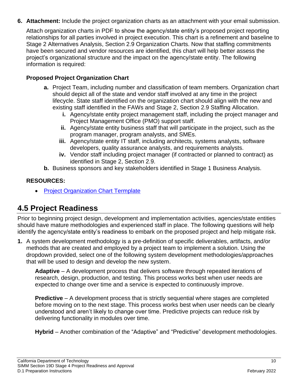**6. Attachment:** Include the project organization charts as an attachment with your email submission.

Attach organization charts in PDF to show the agency/state entity's proposed project reporting relationships for all parties involved in project execution. This chart is a refinement and baseline to Stage 2 Alternatives Analysis, Section 2.9 Organization Charts. Now that staffing commitments have been secured and vendor resources are identified, this chart will help better assess the project's organizational structure and the impact on the agency/state entity. The following information is required:

#### **Proposed Project Organization Chart**

- **a.** Project Team, including number and classification of team members. Organization chart should depict all of the state and vendor staff involved at any time in the project lifecycle. State staff identified on the organization chart should align with the new and existing staff identified in the FAWs and Stage 2, Section 2.9 Staffing Allocation.
	- **i.** Agency/state entity project management staff, including the project manager and Project Management Office (PMO) support staff.
	- **ii.** Agency/state entity business staff that will participate in the project, such as the program manager, program analysts, and SMEs.
	- **iii.** Agency/state entity IT staff, including architects, systems analysts, software developers, quality assurance analysts, and requirements analysts.
	- **iv.** Vendor staff including project manager (if contracted or planned to contract) as identified in Stage 2, Section 2.9.
- **b.** Business sponsors and key stakeholders identified in Stage 1 Business Analysis.

#### **RESOURCES:**

• [Project Organization Chart Termplate](http://capmf.cdt.ca.gov/files/CA-PMF_Planning_Template_Shells/Project_Org_Chart_Template_Shell.docx#a11y=)

### <span id="page-10-0"></span>**4.5 Project Readiness**

Prior to beginning project design, development and implementation activities, agencies/state entities should have mature methodologies and experienced staff in place. The following questions will help identify the agency/state entity's readiness to embark on the proposed project and help mitigate risk.

**1.** A system development methodology is a pre-definition of specific deliverables, artifacts, and/or methods that are created and employed by a project team to implement a solution. Using the dropdown provided, select one of the following system development methodologies/approaches that will be used to design and develop the new system.

**Adaptive** – A development process that delivers software through repeated iterations of research, design, production, and testing. This process works best when user needs are expected to change over time and a service is expected to continuously improve.

**Predictive** – A development process that is strictly sequential where stages are completed before moving on to the next stage. This process works best when user needs can be clearly understood and aren't likely to change over time. Predictive projects can reduce risk by delivering functionality in modules over time.

**Hybrid** – Another combination of the "Adaptive" and "Predictive" development methodologies.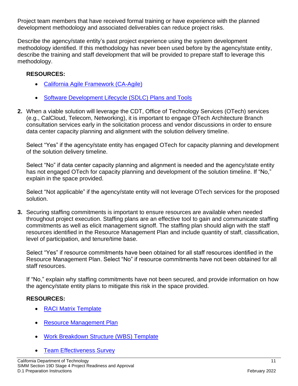Project team members that have received formal training or have experience with the planned development methodology and associated deliverables can reduce project risks.

Describe the agency/state entity's past project experience using the system development methodology identified. If this methodology has never been used before by the agency/state entity, describe the training and staff development that will be provided to prepare staff to leverage this methodology.

#### **RESOURCES:**

- [California Agile Framework \(CA-Agile\)](https://projectresources.cdt.ca.gov/agile/)
- [Software Development Lifecycle \(SDLC\) Plans and Tools](https://projectresources.cdt.ca.gov/sdlc/)
- **2.** When a viable solution will leverage the CDT, Office of Technology Services (OTech) services (e.g., CalCloud, Telecom, Networking), it is important to engage OTech Architecture Branch consultation services early in the solicitation process and vendor discussions in order to ensure data center capacity planning and alignment with the solution delivery timeline.

Select "Yes" if the agency/state entity has engaged OTech for capacity planning and development of the solution delivery timeline.

Select "No" if data center capacity planning and alignment is needed and the agency/state entity has not engaged OTech for capacity planning and development of the solution timeline. If "No," explain in the space provided.

Select "Not applicable" if the agency/state entity will not leverage OTech services for the proposed solution.

**3.** Securing staffing commitments is important to ensure resources are available when needed throughout project execution. Staffing plans are an effective tool to gain and communicate staffing commitments as well as elicit management signoff. The staffing plan should align with the staff resources identified in the Resource Management Plan and include quantity of staff, classification, level of participation, and tenure/time base.

Select "Yes" if resource commitments have been obtained for all staff resources identified in the Resource Management Plan. Select "No" if resource commitments have not been obtained for all staff resources.

If "No," explain why staffing commitments have not been secured, and provide information on how the agency/state entity plans to mitigate this risk in the space provided.

#### **RESOURCES:**

- [RACI Matrix Template](http://capmf.cdt.ca.gov/files/CA-PMF_Initiating_Template_Shells/RACI_Matrix_Template_Shell.xlsx#a11y=)
- [Resource Management Plan](http://capmf.cdt.ca.gov/files/CA-PMF_Planning_Template_Shells/HR_and_Staff_Management_Plan_Template_Shell.docx#a11y=)
- [Work Breakdown Structure \(WBS\) Template](http://capmf.cdt.ca.gov/files/CA-PMF_Planning_Template_Shells/WBS_Template_Shell.docx#a11y=)
- **[Team Effectiveness Survey](http://capmf.cdt.ca.gov/files/CA-PMF_Executing_Template_Shells/Team_Effectiveness_Survey_Template_Shell.docx#a11y=)**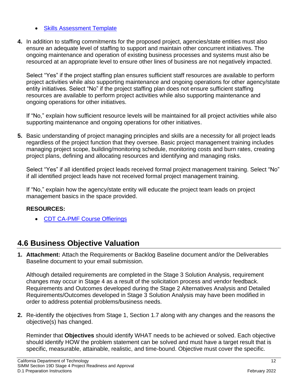- **[Skills Assessment Template](http://capmf.cdt.ca.gov/files/CA-PMF_Planning_Template_Shells/Skills_Assessment_Template_Shell.docx#a11y=)**
- **4.** In addition to staffing commitments for the proposed project, agencies/state entities must also ensure an adequate level of staffing to support and maintain other concurrent initiatives. The ongoing maintenance and operation of existing business processes and systems must also be resourced at an appropriate level to ensure other lines of business are not negatively impacted.

Select "Yes" if the project staffing plan ensures sufficient staff resources are available to perform project activities while also supporting maintenance and ongoing operations for other agency/state entity initiatives. Select "No" if the project staffing plan does not ensure sufficient staffing resources are available to perform project activities while also supporting maintenance and ongoing operations for other initiatives.

If "No," explain how sufficient resource levels will be maintained for all project activities while also supporting maintenance and ongoing operations for other initiatives.

**5.** Basic understanding of project managing principles and skills are a necessity for all project leads regardless of the project function that they oversee. Basic project management training includes managing project scope, building/monitoring schedule, monitoring costs and burn rates, creating project plans, defining and allocating resources and identifying and managing risks.

Select "Yes" if all identified project leads received formal project management training. Select "No" if all identified project leads have not received formal project management training.

If "No," explain how the agency/state entity will educate the project team leads on project management basics in the space provided.

#### **RESOURCES:**

• [CDT CA-PMF Course Offierings](http://capmf.cdt.ca.gov/Training.html)

### <span id="page-12-0"></span>**4.6 Business Objective Valuation**

**1. Attachment:** Attach the Requirements or Backlog Baseline document and/or the Deliverables Baseline document to your email submission.

Although detailed requirements are completed in the Stage 3 Solution Analysis, requirement changes may occur in Stage 4 as a result of the solicitation process and vendor feedback. Requirements and Outcomes developed during the Stage 2 Alternatives Analysis and Detailed Requirements/Outcomes developed in Stage 3 Solution Analysis may have been modified in order to address potential problems/business needs.

**2.** Re-identify the objectives from Stage 1, Section 1.7 along with any changes and the reasons the objective(s) has changed.

Reminder that **Objectives** should identify WHAT needs to be achieved or solved. Each objective should identify HOW the problem statement can be solved and must have a target result that is specific, measurable, attainable, realistic, and time-bound. Objective must cover the specific.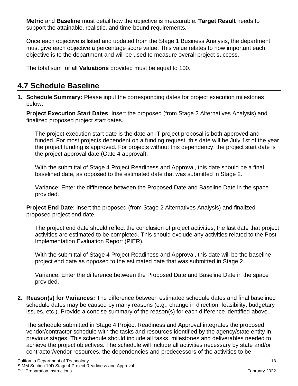**Metric** and **Baseline** must detail how the objective is measurable. **Target Result** needs to support the attainable, realistic, and time-bound requirements.

Once each objective is listed and updated from the Stage 1 Business Analysis, the department must give each objective a percentage score value. This value relates to how important each objective is to the department and will be used to measure overall project success.

The total sum for all **Valuations** provided must be equal to 100.

# <span id="page-13-0"></span>**4.7 Schedule Baseline**

**1. Schedule Summary:** Please input the corresponding dates for project execution milestones below.

**Project Execution Start Dates**: Insert the proposed (from Stage 2 Alternatives Analysis) and finalized proposed project start dates.

The project execution start date is the date an IT project proposal is both approved and funded. For most projects dependent on a funding request, this date will be July 1st of the year the project funding is approved. For projects without this dependency, the project start date is the project approval date (Gate 4 approval).

With the submittal of Stage 4 Project Readiness and Approval, this date should be a final baselined date, as opposed to the estimated date that was submitted in Stage 2.

Variance: Enter the difference between the Proposed Date and Baseline Date in the space provided.

**Project End Date**: Insert the proposed (from Stage 2 Alternatives Analysis) and finalized proposed project end date.

The project end date should reflect the conclusion of project activities; the last date that project activities are estimated to be completed. This should exclude any activities related to the Post Implementation Evaluation Report (PIER).

With the submittal of Stage 4 Project Readiness and Approval, this date will be the baseline project end date as opposed to the estimated date that was submitted in Stage 2.

Variance: Enter the difference between the Proposed Date and Baseline Date in the space provided.

**2. Reason(s) for Variances:** The difference between estimated schedule dates and final baselined schedule dates may be caused by many reasons (e.g., change in direction, feasibility, budgetary issues, etc.). Provide a concise summary of the reason(s) for each difference identified above.

The schedule submitted in Stage 4 Project Readiness and Approval integrates the proposed vendor/contractor schedule with the tasks and resources identified by the agency/state entity in previous stages. This schedule should include all tasks, milestones and deliverables needed to achieve the project objectives. The schedule will include all activities necessary by state and/or contractor/vendor resources, the dependencies and predecessors of the activities to be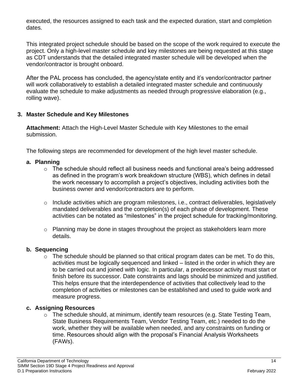executed, the resources assigned to each task and the expected duration, start and completion dates.

This integrated project schedule should be based on the scope of the work required to execute the project. Only a high-level master schedule and key milestones are being requested at this stage as CDT understands that the detailed integrated master schedule will be developed when the vendor/contractor is brought onboard.

After the PAL process has concluded, the agency/state entity and it's vendor/contractor partner will work collaboratively to establish a detailed integrated master schedule and continuously evaluate the schedule to make adjustments as needed through progressive elaboration (e.g., rolling wave).

#### **3. Master Schedule and Key Milestones**

**Attachment:** Attach the High-Level Master Schedule with Key Milestones to the email submission.

The following steps are recommended for development of the high level master schedule.

#### **a. Planning**

- o The schedule should reflect all business needs and functional area's being addressed as defined in the program's work breakdown structure (WBS), which defines in detail the work necessary to accomplish a project's objectives, including activities both the business owner and vendor/contractors are to perform.
- o Include activities which are program milestones, i.e., contract deliverables, legislatively mandated deliverables and the completion(s) of each phase of development. These activities can be notated as "milestones" in the project schedule for tracking/monitoring.
- o Planning may be done in stages throughout the project as stakeholders learn more details.

#### **b. Sequencing**

 $\circ$  The schedule should be planned so that critical program dates can be met. To do this, activities must be logically sequenced and linked – listed in the order in which they are to be carried out and joined with logic. In particular, a predecessor activity must start or finish before its successor. Date constraints and lags should be minimized and justified. This helps ensure that the interdependence of activities that collectively lead to the completion of activities or milestones can be established and used to guide work and measure progress.

#### **c. Assigning Resources**

o The schedule should, at minimum, identify team resources (e.g. State Testing Team, State Business Requirements Team, Vendor Testing Team, etc.) needed to do the work, whether they will be available when needed, and any constraints on funding or time. Resources should align with the proposal's Financial Analysis Worksheets (FAWs).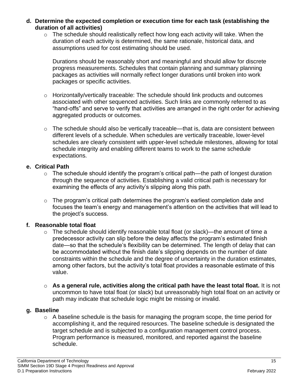- **d. Determine the expected completion or execution time for each task (establishing the duration of all activities)**
	- o The schedule should realistically reflect how long each activity will take. When the duration of each activity is determined, the same rationale, historical data, and assumptions used for cost estimating should be used.

Durations should be reasonably short and meaningful and should allow for discrete progress measurements. Schedules that contain planning and summary planning packages as activities will normally reflect longer durations until broken into work packages or specific activities.

- o Horizontally/vertically traceable: The schedule should link products and outcomes associated with other sequenced activities. Such links are commonly referred to as "hand-offs" and serve to verify that activities are arranged in the right order for achieving aggregated products or outcomes.
- o The schedule should also be vertically traceable—that is, data are consistent between different levels of a schedule. When schedules are vertically traceable, lower-level schedules are clearly consistent with upper-level schedule milestones, allowing for total schedule integrity and enabling different teams to work to the same schedule expectations.

#### **e. Critical Path**

- o The schedule should identify the program's critical path—the path of longest duration through the sequence of activities. Establishing a valid critical path is necessary for examining the effects of any activity's slipping along this path.
- $\circ$  The program's critical path determines the program's earliest completion date and focuses the team's energy and management's attention on the activities that will lead to the project's success.

#### **f. Reasonable total float**

- $\circ$  The schedule should identify reasonable total float (or slack)—the amount of time a predecessor activity can slip before the delay affects the program's estimated finish date—so that the schedule's flexibility can be determined. The length of delay that can be accommodated without the finish date's slipping depends on the number of date constraints within the schedule and the degree of uncertainty in the duration estimates, among other factors, but the activity's total float provides a reasonable estimate of this value.
- o **As a general rule, activities along the critical path have the least total float.** It is not uncommon to have total float (or slack) but unreasonably high total float on an activity or path may indicate that schedule logic might be missing or invalid.

#### **g. Baseline**

o A baseline schedule is the basis for managing the program scope, the time period for accomplishing it, and the required resources. The baseline schedule is designated the target schedule and is subjected to a configuration management control process. Program performance is measured, monitored, and reported against the baseline schedule.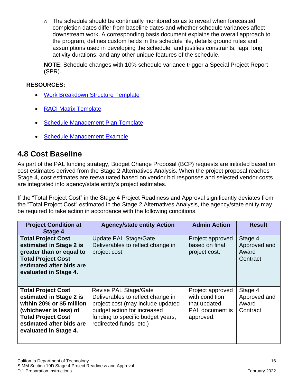$\circ$  The schedule should be continually monitored so as to reveal when forecasted completion dates differ from baseline dates and whether schedule variances affect downstream work. A corresponding basis document explains the overall approach to the program, defines custom fields in the schedule file, details ground rules and assumptions used in developing the schedule, and justifies constraints, lags, long activity durations, and any other unique features of the schedule.

**NOTE**: Schedule changes with 10% schedule variance trigger a Special Project Report (SPR).

#### **RESOURCES:**

- [Work Breakdown Structure Template](http://capmf.cdt.ca.gov/files/CA-PMF_Planning_Template_Shells/WBS_Template_Shell.docx#a11y=)
- [RACI Matrix Template](http://capmf.cdt.ca.gov/files/CA-PMF_Initiating_Template_Shells/RACI_Matrix_Template_Shell.xlsx#a11y=)
- [Schedule Management Plan Template](http://capmf.cdt.ca.gov/files/CA-PMF_Planning_Template_Shells/Schedule_Management_Plan_Template_Shell.docx#a11y=)
- **[Schedule Management Example](http://capmf.cdt.ca.gov/pdf/templates/samples/BOE_CROS_ProjectManagementPlan.pdf#page=23&a11y=)**

### <span id="page-16-0"></span>**4.8 Cost Baseline**

As part of the PAL funding strategy, Budget Change Proposal (BCP) requests are initiated based on cost estimates derived from the Stage 2 Alternatives Analysis. When the project proposal reaches Stage 4, cost estimates are reevaluated based on vendor bid responses and selected vendor costs are integrated into agency/state entity's project estimates.

If the "Total Project Cost" in the Stage 4 Project Readiness and Approval significantly deviates from the "Total Project Cost" estimated in the Stage 2 Alternatives Analysis, the agency/state entity may be required to take action in accordance with the following conditions.

| <b>Project Condition at</b><br>Stage 4                                                                                                                                                        | <b>Agency/state entity Action</b>                                                                                                                                                                     | <b>Admin Action</b>                                                                       | <b>Result</b>                                |
|-----------------------------------------------------------------------------------------------------------------------------------------------------------------------------------------------|-------------------------------------------------------------------------------------------------------------------------------------------------------------------------------------------------------|-------------------------------------------------------------------------------------------|----------------------------------------------|
| <b>Total Project Cost</b><br>estimated in Stage 2 is<br>greater than or equal to<br><b>Total Project Cost</b><br>estimated after bids are<br>evaluated in Stage 4.                            | Update PAL Stage/Gate<br>Deliverables to reflect change in<br>project cost.                                                                                                                           | Project approved<br>based on final<br>project cost.                                       | Stage 4<br>Approved and<br>Award<br>Contract |
| <b>Total Project Cost</b><br>estimated in Stage 2 is<br>within 20% or \$5 million<br>(whichever is less) of<br><b>Total Project Cost</b><br>estimated after bids are<br>evaluated in Stage 4. | <b>Revise PAL Stage/Gate</b><br>Deliverables to reflect change in<br>project cost (may include updated<br>budget action for increased<br>funding to specific budget years,<br>redirected funds, etc.) | Project approved<br>with condition<br>that updated<br><b>PAL</b> document is<br>approved. | Stage 4<br>Approved and<br>Award<br>Contract |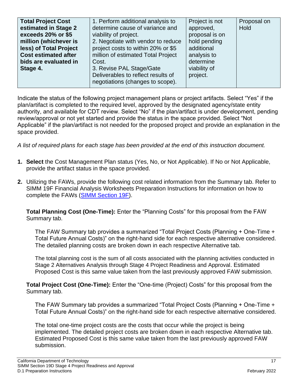| <b>Total Project Cost</b><br>estimated in Stage 2     | 1. Perform additional analysis to<br>determine cause of variance and     | Project is not<br>approved, | Proposal on<br>Hold |
|-------------------------------------------------------|--------------------------------------------------------------------------|-----------------------------|---------------------|
| exceeds 20% or \$5                                    | viability of project.                                                    | proposal is on              |                     |
| million (whichever is                                 | 2. Negotiate with vendor to reduce                                       | hold pending                |                     |
| less) of Total Project<br><b>Cost estimated after</b> | project costs to within 20% or \$5<br>million of estimated Total Project | additional<br>analysis to   |                     |
| bids are evaluated in                                 | Cost.                                                                    | determine                   |                     |
| Stage 4.                                              | 3. Revise PAL Stage/Gate                                                 | viability of                |                     |
|                                                       | Deliverables to reflect results of<br>negotiations (changes to scope).   | project.                    |                     |

Indicate the status of the following project management plans or project artifacts. Select "Yes" if the plan/artifact is completed to the required level, approved by the designated agency/state entity authority, and available for CDT review. Select "No" if the plan/artifact is under development, pending review/approval or not yet started and provide the status in the space provided. Select "Not Applicable" if the plan/artifact is not needed for the proposed project and provide an explanation in the space provided.

*A list of required plans for each stage has been provided at the end of this instruction document.*

- **1. Select** the Cost Management Plan status (Yes, No, or Not Applicable). If No or Not Applicable, provide the artifact status in the space provided.
- **2.** Utilizing the FAWs, provide the following cost related information from the Summary tab. Refer to SIMM 19F Financial Analysis Worksheets Preparation Instructions for information on how to complete the FAWs [\(SIMM Section 19F\)](https://cdt.ca.gov/wp-content/uploads/2019/07/F.1-Preparation-Instructions.pdf).

**Total Planning Cost (One-Time):** Enter the "Planning Costs" for this proposal from the FAW Summary tab.

The FAW Summary tab provides a summarized "Total Project Costs (Planning + One-Time + Total Future Annual Costs)" on the right-hand side for each respective alternative considered. The detailed planning costs are broken down in each respective Alternative tab.

The total planning cost is the sum of all costs associated with the planning activities conducted in Stage 2 Alternatives Analysis through Stage 4 Project Readiness and Approval. Estimated Proposed Cost is this same value taken from the last previously approved FAW submission.

**Total Project Cost (One-Time):** Enter the "One-time (Project) Costs" for this proposal from the Summary tab.

The FAW Summary tab provides a summarized "Total Project Costs (Planning + One-Time + Total Future Annual Costs)" on the right-hand side for each respective alternative considered.

The total one-time project costs are the costs that occur while the project is being implemented. The detailed project costs are broken down in each respective Alternative tab. Estimated Proposed Cost is this same value taken from the last previously approved FAW submission.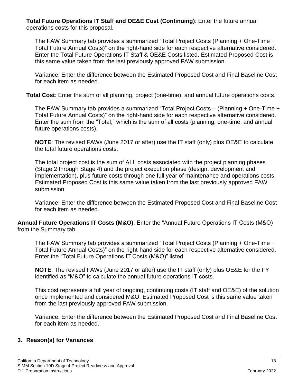**Total Future Operations IT Staff and OE&E Cost (Continuing)**: Enter the future annual operations costs for this proposal.

The FAW Summary tab provides a summarized "Total Project Costs (Planning + One-Time + Total Future Annual Costs)" on the right-hand side for each respective alternative considered. Enter the Total Future Operations IT Staff & OE&E Costs listed. Estimated Proposed Cost is this same value taken from the last previously approved FAW submission.

Variance: Enter the difference between the Estimated Proposed Cost and Final Baseline Cost for each item as needed.

**Total Cost**: Enter the sum of all planning, project (one-time), and annual future operations costs.

The FAW Summary tab provides a summarized "Total Project Costs – (Planning + One-Time + Total Future Annual Costs)" on the right-hand side for each respective alternative considered. Enter the sum from the "Total," which is the sum of all costs (planning, one-time, and annual future operations costs).

**NOTE**: The revised FAWs (June 2017 or after) use the IT staff (only) plus OE&E to calculate the total future operations costs.

The total project cost is the sum of ALL costs associated with the project planning phases (Stage 2 through Stage 4) and the project execution phase (design, development and implementation), plus future costs through one full year of maintenance and operations costs. Estimated Proposed Cost is this same value taken from the last previously approved FAW submission.

Variance: Enter the difference between the Estimated Proposed Cost and Final Baseline Cost for each item as needed.

**Annual Future Operations IT Costs (M&O)**: Enter the "Annual Future Operations IT Costs (M&O) from the Summary tab.

The FAW Summary tab provides a summarized "Total Project Costs (Planning + One-Time + Total Future Annual Costs)" on the right-hand side for each respective alternative considered. Enter the "Total Future Operations IT Costs (M&O)" listed.

**NOTE**: The revised FAWs (June 2017 or after) use the IT staff (only) plus OE&E for the FY identified as "M&O" to calculate the annual future operations IT costs.

This cost represents a full year of ongoing, continuing costs (IT staff and OE&E) of the solution once implemented and considered M&O. Estimated Proposed Cost is this same value taken from the last previously approved FAW submission.

Variance: Enter the difference between the Estimated Proposed Cost and Final Baseline Cost for each item as needed.

#### **3. Reason(s) for Variances**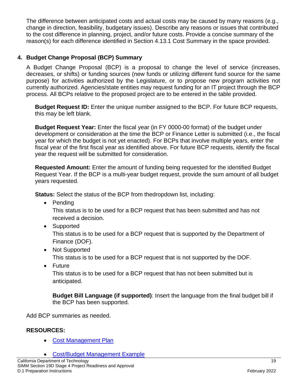The difference between anticipated costs and actual costs may be caused by many reasons (e.g., change in direction, feasibility, budgetary issues). Describe any reasons or issues that contributed to the cost difference in planning, project, and/or future costs. Provide a concise summary of the reason(s) for each difference identified in Section 4.13.1 Cost Summary in the space provided.

#### **4. Budget Change Proposal (BCP) Summary**

A Budget Change Proposal (BCP) is a proposal to change the level of service (increases, decreases, or shifts) or funding sources (new funds or utilizing different fund source for the same purpose) for activities authorized by the Legislature, or to propose new program activities not currently authorized. Agencies/state entities may request funding for an IT project through the BCP process. All BCPs relative to the proposed project are to be entered in the table provided.

**Budget Request ID:** Enter the unique number assigned to the BCP. For future BCP requests, this may be left blank.

**Budget Request Year:** Enter the fiscal year (in FY 0000-00 format) of the budget under development or consideration at the time the BCP or Finance Letter is submitted (i.e., the fiscal year for which the budget is not yet enacted). For BCPs that involve multiple years, enter the fiscal year of the first fiscal year as identified above. For future BCP requests, identify the fiscal year the request will be submitted for consideration.

**Requested Amount:** Enter the amount of funding being requested for the identified Budget Request Year. If the BCP is a multi-year budget request, provide the sum amount of all budget years requested.

**Status:** Select the status of the BCP from thedropdown list, including:

• Pending

This status is to be used for a BCP request that has been submitted and has not received a decision.

• Supported

This status is to be used for a BCP request that is supported by the Department of Finance (DOF).

- Not Supported This status is to be used for a BCP request that is not supported by the DOF.
- Future

This status is to be used for a BCP request that has not been submitted but is anticipated.

**Budget Bill Language (if supported)**: Insert the language from the final budget bill if the BCP has been supported.

Add BCP summaries as needed.

#### **RESOURCES:**

• [Cost Management Plan](http://capmf.cdt.ca.gov/files/CA-PMF_Planning_Template_Shells/Cost_Management_Plan_Template_Shell.docx#a11y=)

• [Cost/Budget Management Example](http://capmf.cdt.ca.gov/pdf/templates/samples/BOE_CROS_ProjectManagementPlan.pdf#page=24&a11y=)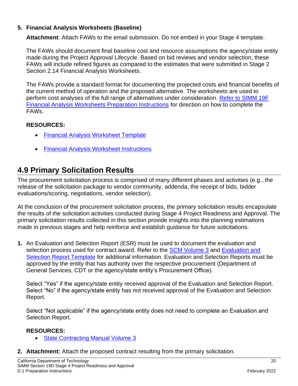#### **5. Financial Analysis Worksheets (Baseline)**

**Attachment**: Attach FAWs to the email submission. Do not embed in your Stage 4 template.

The FAWs should document final baseline cost and resource assumptions the agency/state entity made during the Project Approval Lifecycle. Based on bid reviews and vendor selection, these FAWs will include refined figures as compared to the estimates that were submitted in Stage 2 Section 2.14 Financial Analysis Worksheets.

The FAWs provide a standard format for documenting the projected costs and financial benefits of the current method of operation and the proposed alternative. The worksheets are used to perform cost analyses of the full range of alternatives under consideration. [Refer to SIMM 19F](http://www.cio.ca.gov/Government/IT_Policy/pdf/SIMM19/SIMM_19F1-Preparation_Instructions.pdf)  [Financial Analysis Worksheets Preparation Instructions](http://www.cio.ca.gov/Government/IT_Policy/pdf/SIMM19/SIMM_19F1-Preparation_Instructions.pdf) for direction on how to complete the FAWs.

#### **RESOURCES:**

- [Financial Analysis Worksheet Template](https://cdt.ca.gov/wp-content/uploads/2019/09/F.2-Financial-Analysis-Worksheets-Template-1.xlsx#a11y=)
- [Financial Analysis Worksheet Instructions](https://cdt.ca.gov/wp-content/uploads/2019/07/F.1-Preparation-Instructions.pdf)

### <span id="page-20-0"></span>**4.9 Primary Solicitation Results**

The procurement solicitation process is comprised of many different phases and activities (e.g., the release of the solicitation package to vendor community, addenda, the receipt of bids, bidder evaluations/scoring, negotiations, vendor selection).

At the conclusion of the procurement solicitation process, the primary solicitation results encapsulate the results of the solicitation activities conducted during Stage 4 Project Readiness and Approval. The primary solicitation results collected in this section provide insights into the planning estimations made in previous stages and help reinforce and establish guidance for future solicitations.

**1.** An Evaluation and Selection Report (ESR) must be used to document the evaluation and selection process used for contract award. Refer to the [SCM Volume 3](http://www.dgs.ca.gov/pd/Resources/publications/SCM3.aspx) and Evaluation and [Selection Report Template](http://www.documents.dgs.ca.gov/pd/poliproc/Chapter03EVALUATIONANDSELECTIONREPORT.doc) for additional information. Evaluation and Selection Reports must be approved by the entity that has authority over the respective procurement (Department of General Services, CDT or the agency/state entity's Procurement Office).

Select "Yes" if the agency/state entity received approval of the Evaluation and Selection Report. Select "No" if the agency/state entity has not received approval of the Evaluation and Selection Report.

Select "Not applicable" if the agency/state entity does not need to complete an Evaluation and Selection Report.

#### **RESOURCES:**

- **[State Contracting Manual Volume 3](http://www.dgs.ca.gov/pd/Resources/publications/SCM3.aspx)**
- **2. Attachment:** Attach the proposed contract resulting from the primary solicitation.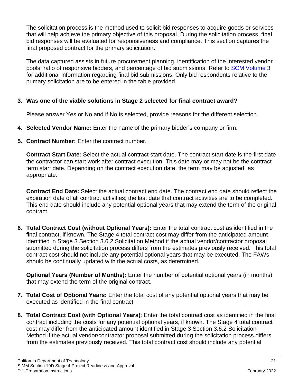The solicitation process is the method used to solicit bid responses to acquire goods or services that will help achieve the primary objective of this proposal. During the solicitation process, final bid responses will be evaluated for responsiveness and compliance. This section captures the final proposed contract for the primary solicitation.

The data captured assists in future procurement planning, identification of the interested vendor pools, ratio of responsive bidders, and percentage of bid submissions. Refer to [SCM Volume 3](http://www.dgs.ca.gov/pd/Resources/publications/SCM3.aspx) for additional information regarding final bid submissions. Only bid respondents relative to the primary solicitation are to be entered in the table provided.

#### **3. Was one of the viable solutions in Stage 2 selected for final contract award?**

Please answer Yes or No and if No is selected, provide reasons for the different selection.

- **4. Selected Vendor Name:** Enter the name of the primary bidder's company or firm.
- **5. Contract Number:** Enter the contract number.

**Contract Start Date:** Select the actual contract start date. The contract start date is the first date the contractor can start work after contract execution. This date may or may not be the contract term start date. Depending on the contract execution date, the term may be adjusted, as appropriate.

**Contract End Date:** Select the actual contract end date. The contract end date should reflect the expiration date of all contract activities; the last date that contract activities are to be completed. This end date should include any potential optional years that may extend the term of the original contract.

**6. Total Contract Cost (without Optional Years):** Enter the total contract cost as identified in the final contract, if known. The Stage 4 total contract cost may differ from the anticipated amount identified in Stage 3 Section 3.6.2 Solicitation Method if the actual vendor/contractor proposal submitted during the solicitation process differs from the estimates previously received. This total contract cost should not include any potential optional years that may be executed. The FAWs should be continually updated with the actual costs, as determined.

**Optional Years (Number of Months):** Enter the number of potential optional years (in months) that may extend the term of the original contract.

- **7. Total Cost of Optional Years:** Enter the total cost of any potential optional years that may be executed as identified in the final contract.
- **8. Total Contract Cost (with Optional Years)**: Enter the total contract cost as identified in the final contract including the costs for any potential optional years, if known. The Stage 4 total contract cost may differ from the anticipated amount identified in Stage 3 Section 3.6.2 Solicitation Method if the actual vendor/contractor proposal submitted during the solicitation process differs from the estimates previously received. This total contract cost should include any potential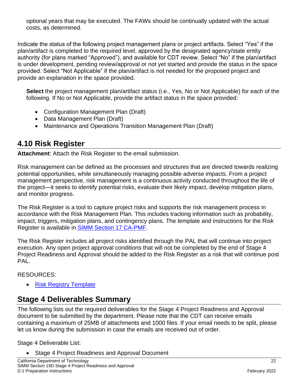optional years that may be executed. The FAWs should be continually updated with the actual costs, as determined.

Indicate the status of the following project management plans or project artifacts. Select "Yes" if the plan/artifact is completed to the required level, approved by the designated agency/state entity authority (for plans marked "Approved"), and available for CDT review. Select "No" if the plan/artifact is under development, pending review/approval or not yet started and provide the status in the space provided. Select "Not Applicable" if the plan/artifact is not needed for the proposed project and provide an explanation in the space provided.

**Select** the project management plan/artifact status (i.e., Yes, No or Not Applicable) for each of the following. If No or Not Applicable, provide the artifact status in the space provided:

- Configuration Management Plan (Draft)
- Data Management Plan (Draft)
- Maintenance and Operations Transition Management Plan (Draft)

# <span id="page-22-0"></span>**4.10 Risk Register**

**Attachment**: Attach the Risk Register to the email submission.

Risk management can be defined as the processes and structures that are directed towards realizing potential opportunities, while simultaneously managing possible adverse impacts. From a project management perspective, risk management is a continuous activity conducted throughout the life of the project—it seeks to identify potential risks, evaluate their likely impact, develop mitigation plans, and monitor progress.

The Risk Register is a tool to capture project risks and supports the risk management process in accordance with the Risk Management Plan. This includes tracking information such as probability, impact, triggers, mitigation plans, and contingency plans. The template and instructions for the Risk Register is available in [SIMM Section 17 CA-PMF.](http://capmf.cdt.ca.gov/)

The Risk Register includes all project risks identified through the PAL that will continue into project execution. Any open project approval conditions that will not be completed by the end of Stage 4 Project Readiness and Approval should be added to the Risk Register as a risk that will continue post PAL.

#### RESOURCES:

**[Risk Registry Template](http://capmf.cdt.ca.gov/files/CA-PMF_Planning_Template_Shells/Risk_Register_Template_Shell.xlsx#a11y=)** 

# <span id="page-22-1"></span>**Stage 4 Deliverables Summary**

The following lists out the required deliverables for the Stage 4 Project Readiness and Approval document to be submitted by the department. Please note that the CDT can receive emails containing a maximum of 25MB of attachments and 1000 files. If your email needs to be split, please let us know during the submission in case the emails are received out of order.

Stage 4 Deliverable List:

Stage 4 Project Readiness and Approval Document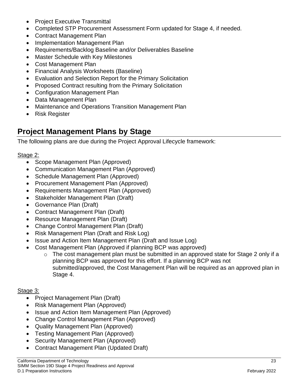- Project Executive Transmittal
- Completed STP Procurement Assessment Form updated for Stage 4, if needed.
- Contract Management Plan
- Implementation Management Plan
- Requirements/Backlog Baseline and/or Deliverables Baseline
- Master Schedule with Key Milestones
- Cost Management Plan
- Financial Analysis Worksheets (Baseline)
- Evaluation and Selection Report for the Primary Solicitation
- Proposed Contract resulting from the Primary Solicitation
- Configuration Management Plan
- Data Management Plan
- Maintenance and Operations Transition Management Plan
- Risk Register

### <span id="page-23-0"></span>**Project Management Plans by Stage**

The following plans are due during the Project Approval Lifecycle framework:

#### Stage 2:

- Scope Management Plan (Approved)
- Communication Management Plan (Approved)
- Schedule Management Plan (Approved)
- Procurement Management Plan (Approved)
- Requirements Management Plan (Approved)
- Stakeholder Management Plan (Draft)
- Governance Plan (Draft)
- Contract Management Plan (Draft)
- Resource Management Plan (Draft)
- Change Control Management Plan (Draft)
- Risk Management Plan (Draft and Risk Log)
- Issue and Action Item Management Plan (Draft and Issue Log)
- Cost Management Plan (Approved if planning BCP was approved)
	- $\circ$  The cost management plan must be submitted in an approved state for Stage 2 only if a planning BCP was approved for this effort. If a planning BCP was not submitted/approved, the Cost Management Plan will be required as an approved plan in Stage 4.

#### Stage 3:

- Project Management Plan (Draft)
- Risk Management Plan (Approved)
- Issue and Action Item Management Plan (Approved)
- Change Control Management Plan (Approved)
- Quality Management Plan (Approved)
- Testing Management Plan (Approved)
- Security Management Plan (Approved)
- Contract Management Plan (Updated Draft)